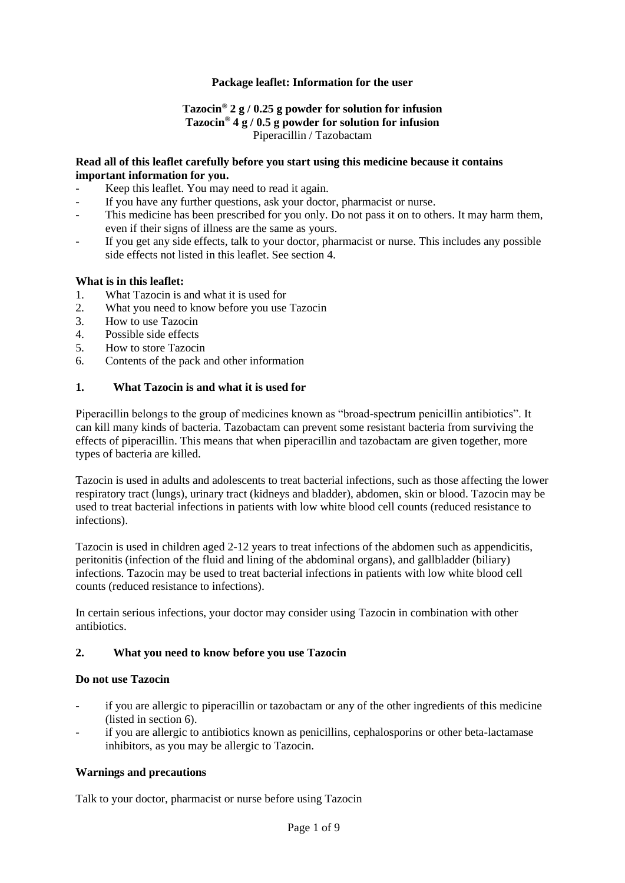## **Package leaflet: Information for the user**

## **Tazocin® 2 g / 0.25 g powder for solution for infusion Tazocin® 4 g / 0.5 g powder for solution for infusion** Piperacillin / Tazobactam

### **Read all of this leaflet carefully before you start using this medicine because it contains important information for you.**

- Keep this leaflet. You may need to read it again.
- If you have any further questions, ask your doctor, pharmacist or nurse.
- This medicine has been prescribed for you only. Do not pass it on to others. It may harm them, even if their signs of illness are the same as yours.
- If you get any side effects, talk to your doctor, pharmacist or nurse. This includes any possible side effects not listed in this leaflet. See section 4.

### **What is in this leaflet:**

- 1. What Tazocin is and what it is used for
- 2. What you need to know before you use Tazocin
- 3. How to use Tazocin
- 4. Possible side effects
- 5. How to store Tazocin
- 6. Contents of the pack and other information

### **1. What Tazocin is and what it is used for**

Piperacillin belongs to the group of medicines known as "broad-spectrum penicillin antibiotics". It can kill many kinds of bacteria. Tazobactam can prevent some resistant bacteria from surviving the effects of piperacillin. This means that when piperacillin and tazobactam are given together, more types of bacteria are killed.

Tazocin is used in adults and adolescents to treat bacterial infections, such as those affecting the lower respiratory tract (lungs), urinary tract (kidneys and bladder), abdomen, skin or blood. Tazocin may be used to treat bacterial infections in patients with low white blood cell counts (reduced resistance to infections).

Tazocin is used in children aged 2-12 years to treat infections of the abdomen such as appendicitis, peritonitis (infection of the fluid and lining of the abdominal organs), and gallbladder (biliary) infections. Tazocin may be used to treat bacterial infections in patients with low white blood cell counts (reduced resistance to infections).

In certain serious infections, your doctor may consider using Tazocin in combination with other antibiotics.

### **2. What you need to know before you use Tazocin**

### **Do not use Tazocin**

- if you are allergic to piperacillin or tazobactam or any of the other ingredients of this medicine (listed in section 6).
- if you are allergic to antibiotics known as penicillins, cephalosporins or other beta-lactamase inhibitors, as you may be allergic to Tazocin.

### **Warnings and precautions**

Talk to your doctor, pharmacist or nurse before using Tazocin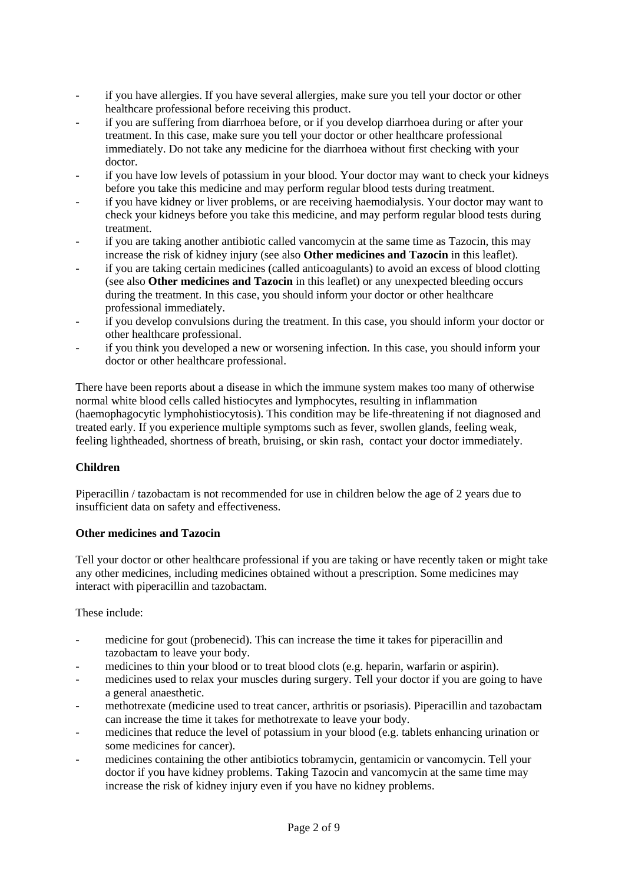- if you have allergies. If you have several allergies, make sure you tell your doctor or other healthcare professional before receiving this product.
- if you are suffering from diarrhoea before, or if you develop diarrhoea during or after your treatment. In this case, make sure you tell your doctor or other healthcare professional immediately. Do not take any medicine for the diarrhoea without first checking with your doctor.
- if you have low levels of potassium in your blood. Your doctor may want to check your kidneys before you take this medicine and may perform regular blood tests during treatment.
- if you have kidney or liver problems, or are receiving haemodialysis. Your doctor may want to check your kidneys before you take this medicine, and may perform regular blood tests during treatment.
- if you are taking another antibiotic called vancomycin at the same time as Tazocin, this may increase the risk of kidney injury (see also **Other medicines and Tazocin** in this leaflet).
- if you are taking certain medicines (called anticoagulants) to avoid an excess of blood clotting (see also **Other medicines and Tazocin** in this leaflet) or any unexpected bleeding occurs during the treatment. In this case, you should inform your doctor or other healthcare professional immediately.
- if you develop convulsions during the treatment. In this case, you should inform your doctor or other healthcare professional.
- if you think you developed a new or worsening infection. In this case, you should inform your doctor or other healthcare professional.

There have been reports about a disease in which the immune system makes too many of otherwise normal white blood cells called histiocytes and lymphocytes, resulting in inflammation (haemophagocytic lymphohistiocytosis). This condition may be life-threatening if not diagnosed and treated early. If you experience multiple symptoms such as fever, swollen glands, feeling weak, feeling lightheaded, shortness of breath, bruising, or skin rash, contact your doctor immediately.

# **Children**

Piperacillin / tazobactam is not recommended for use in children below the age of 2 years due to insufficient data on safety and effectiveness.

# **Other medicines and Tazocin**

Tell your doctor or other healthcare professional if you are taking or have recently taken or might take any other medicines, including medicines obtained without a prescription. Some medicines may interact with piperacillin and tazobactam.

These include:

- medicine for gout (probenecid). This can increase the time it takes for piperacillin and tazobactam to leave your body.
- medicines to thin your blood or to treat blood clots (e.g. heparin, warfarin or aspirin).
- medicines used to relax your muscles during surgery. Tell your doctor if you are going to have a general anaesthetic.
- methotrexate (medicine used to treat cancer, arthritis or psoriasis). Piperacillin and tazobactam can increase the time it takes for methotrexate to leave your body.
- medicines that reduce the level of potassium in your blood (e.g. tablets enhancing urination or some medicines for cancer).
- medicines containing the other antibiotics tobramycin, gentamicin or vancomycin. Tell your doctor if you have kidney problems. Taking Tazocin and vancomycin at the same time may increase the risk of kidney injury even if you have no kidney problems.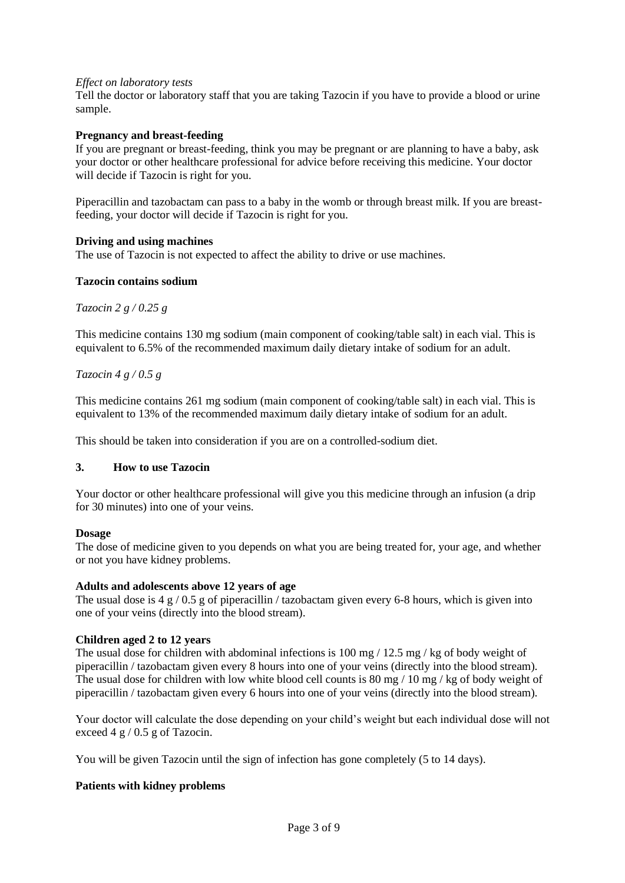### *Effect on laboratory tests*

Tell the doctor or laboratory staff that you are taking Tazocin if you have to provide a blood or urine sample.

### **Pregnancy and breast-feeding**

If you are pregnant or breast-feeding, think you may be pregnant or are planning to have a baby, ask your doctor or other healthcare professional for advice before receiving this medicine. Your doctor will decide if Tazocin is right for you.

Piperacillin and tazobactam can pass to a baby in the womb or through breast milk. If you are breastfeeding, your doctor will decide if Tazocin is right for you.

#### **Driving and using machines**

The use of Tazocin is not expected to affect the ability to drive or use machines.

#### **Tazocin contains sodium**

*Tazocin 2 g / 0.25 g* 

This medicine contains 130 mg sodium (main component of cooking/table salt) in each vial. This is equivalent to 6.5% of the recommended maximum daily dietary intake of sodium for an adult.

### *Tazocin 4 g / 0.5 g*

This medicine contains 261 mg sodium (main component of cooking/table salt) in each vial. This is equivalent to 13% of the recommended maximum daily dietary intake of sodium for an adult.

This should be taken into consideration if you are on a controlled-sodium diet.

### **3. How to use Tazocin**

Your doctor or other healthcare professional will give you this medicine through an infusion (a drip for 30 minutes) into one of your veins.

#### **Dosage**

The dose of medicine given to you depends on what you are being treated for, your age, and whether or not you have kidney problems.

#### **Adults and adolescents above 12 years of age**

The usual dose is  $4 \times 10.5 \times$  of piperacillin / tazobactam given every 6-8 hours, which is given into one of your veins (directly into the blood stream).

### **Children aged 2 to 12 years**

The usual dose for children with abdominal infections is  $100 \text{ mg} / 12.5 \text{ mg} / \text{kg}$  of body weight of piperacillin / tazobactam given every 8 hours into one of your veins (directly into the blood stream). The usual dose for children with low white blood cell counts is  $80 \text{ mg} / 10 \text{ mg}$  / kg of body weight of piperacillin / tazobactam given every 6 hours into one of your veins (directly into the blood stream).

Your doctor will calculate the dose depending on your child's weight but each individual dose will not exceed 4 g / 0.5 g of Tazocin.

You will be given Tazocin until the sign of infection has gone completely (5 to 14 days).

### **Patients with kidney problems**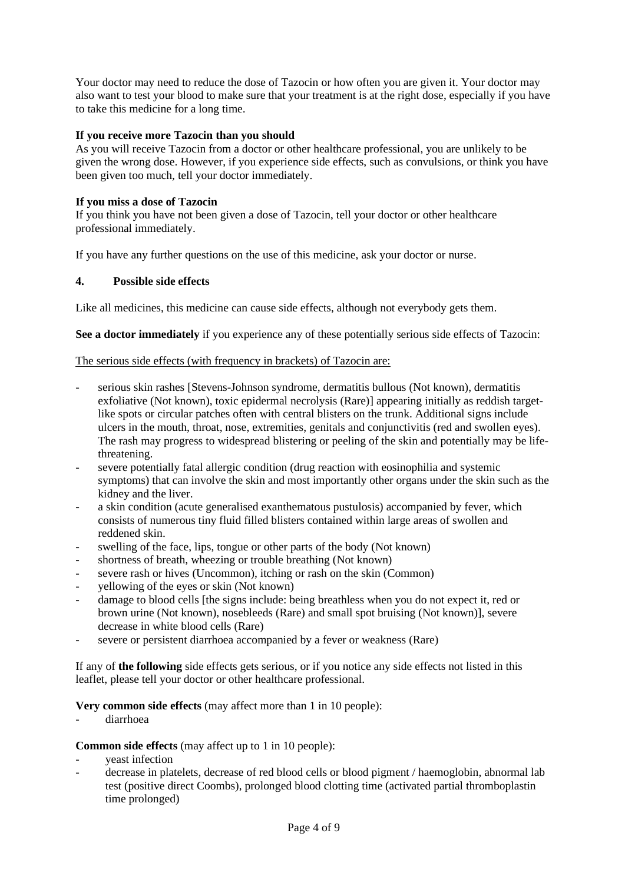Your doctor may need to reduce the dose of Tazocin or how often you are given it. Your doctor may also want to test your blood to make sure that your treatment is at the right dose, especially if you have to take this medicine for a long time.

## **If you receive more Tazocin than you should**

As you will receive Tazocin from a doctor or other healthcare professional, you are unlikely to be given the wrong dose. However, if you experience side effects, such as convulsions, or think you have been given too much, tell your doctor immediately.

## **If you miss a dose of Tazocin**

If you think you have not been given a dose of Tazocin, tell your doctor or other healthcare professional immediately.

If you have any further questions on the use of this medicine, ask your doctor or nurse.

## **4. Possible side effects**

Like all medicines, this medicine can cause side effects, although not everybody gets them.

**See a doctor immediately** if you experience any of these potentially serious side effects of Tazocin:

## The serious side effects (with frequency in brackets) of Tazocin are:

- serious skin rashes [Stevens-Johnson syndrome, dermatitis bullous (Not known), dermatitis exfoliative (Not known), toxic epidermal necrolysis (Rare)] appearing initially as reddish targetlike spots or circular patches often with central blisters on the trunk. Additional signs include ulcers in the mouth, throat, nose, extremities, genitals and conjunctivitis (red and swollen eyes). The rash may progress to widespread blistering or peeling of the skin and potentially may be lifethreatening.
- severe potentially fatal allergic condition (drug reaction with eosinophilia and systemic symptoms) that can involve the skin and most importantly other organs under the skin such as the kidney and the liver.
- a skin condition (acute generalised exanthematous pustulosis) accompanied by fever, which consists of numerous tiny fluid filled blisters contained within large areas of swollen and reddened skin.
- swelling of the face, lips, tongue or other parts of the body (Not known)
- shortness of breath, wheezing or trouble breathing (Not known)
- severe rash or hives (Uncommon), itching or rash on the skin (Common)
- yellowing of the eyes or skin (Not known)
- damage to blood cells [the signs include: being breathless when you do not expect it, red or brown urine (Not known), nosebleeds (Rare) and small spot bruising (Not known)], severe decrease in white blood cells (Rare)
- severe or persistent diarrhoea accompanied by a fever or weakness (Rare)

If any of **the following** side effects gets serious, or if you notice any side effects not listed in this leaflet, please tell your doctor or other healthcare professional.

**Very common side effects** (may affect more than 1 in 10 people):

- diarrhoea

**Common side effects** (may affect up to 1 in 10 people):

- veast infection
- decrease in platelets, decrease of red blood cells or blood pigment / haemoglobin, abnormal lab test (positive direct Coombs), prolonged blood clotting time (activated partial thromboplastin time prolonged)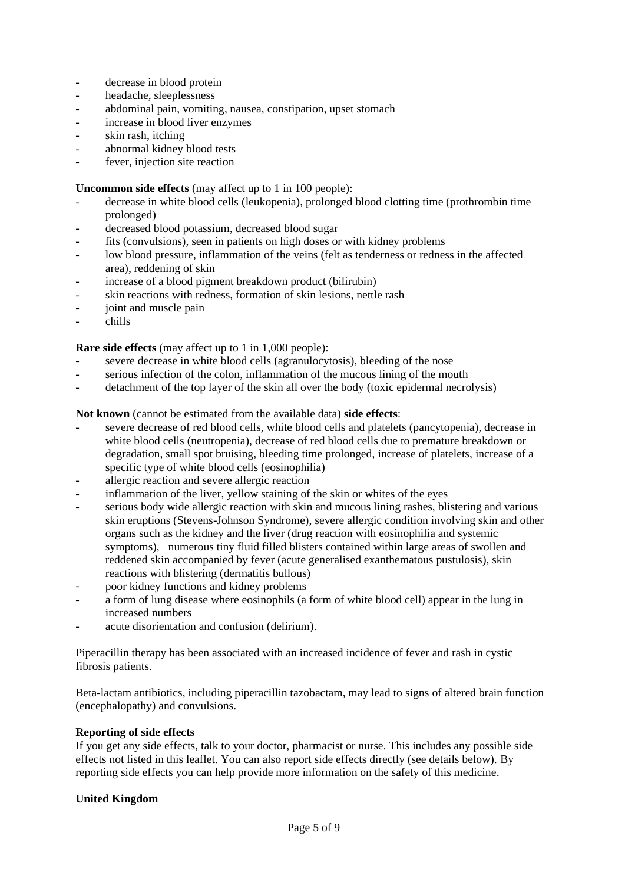- decrease in blood protein
- headache, sleeplessness
- abdominal pain, vomiting, nausea, constipation, upset stomach
- increase in blood liver enzymes
- skin rash, itching
- abnormal kidney blood tests
- fever, injection site reaction

## **Uncommon side effects** (may affect up to 1 in 100 people):

- decrease in white blood cells (leukopenia), prolonged blood clotting time (prothrombin time prolonged)
- decreased blood potassium, decreased blood sugar
- fits (convulsions), seen in patients on high doses or with kidney problems
- low blood pressure, inflammation of the veins (felt as tenderness or redness in the affected area), reddening of skin
- increase of a blood pigment breakdown product (bilirubin)
- skin reactions with redness, formation of skin lesions, nettle rash
- joint and muscle pain
- chills

## **Rare side effects** (may affect up to 1 in 1,000 people):

- severe decrease in white blood cells (agranulocytosis), bleeding of the nose
- serious infection of the colon, inflammation of the mucous lining of the mouth
- detachment of the top layer of the skin all over the body (toxic epidermal necrolysis)

## **Not known** (cannot be estimated from the available data) **side effects**:

- severe decrease of red blood cells, white blood cells and platelets (pancytopenia), decrease in white blood cells (neutropenia), decrease of red blood cells due to premature breakdown or degradation, small spot bruising, bleeding time prolonged, increase of platelets, increase of a specific type of white blood cells (eosinophilia)
- allergic reaction and severe allergic reaction
- inflammation of the liver, yellow staining of the skin or whites of the eyes
- serious body wide allergic reaction with skin and mucous lining rashes, blistering and various skin eruptions (Stevens-Johnson Syndrome), severe allergic condition involving skin and other organs such as the kidney and the liver (drug reaction with eosinophilia and systemic symptoms), numerous tiny fluid filled blisters contained within large areas of swollen and reddened skin accompanied by fever (acute generalised exanthematous pustulosis), skin reactions with blistering (dermatitis bullous)
- poor kidney functions and kidney problems
- a form of lung disease where eosinophils (a form of white blood cell) appear in the lung in increased numbers
- acute disorientation and confusion (delirium).

Piperacillin therapy has been associated with an increased incidence of fever and rash in cystic fibrosis patients.

Beta-lactam antibiotics, including piperacillin tazobactam, may lead to signs of altered brain function (encephalopathy) and convulsions.

### **Reporting of side effects**

If you get any side effects, talk to your doctor, pharmacist or nurse. This includes any possible side effects not listed in this leaflet. You can also report side effects directly (see details below). By reporting side effects you can help provide more information on the safety of this medicine.

# **United Kingdom**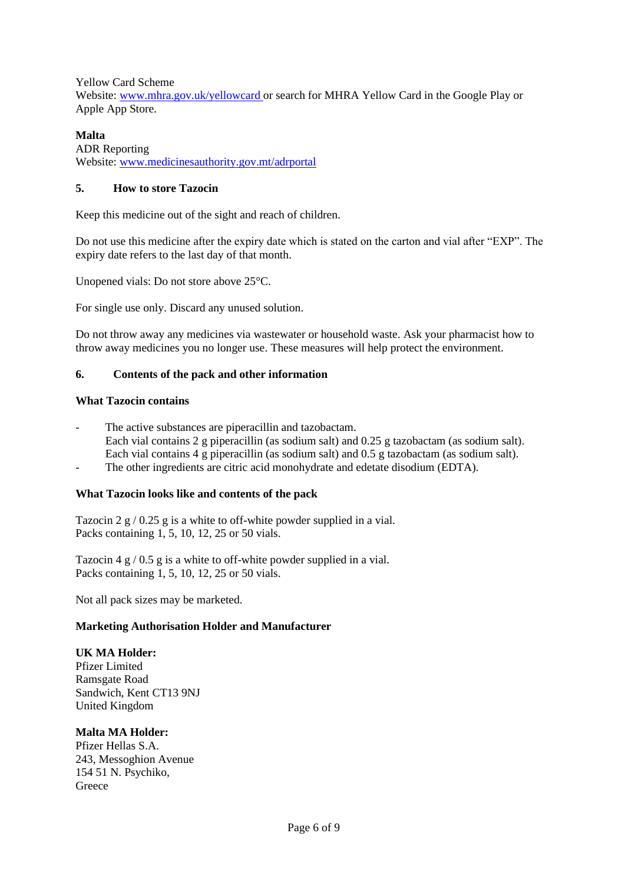Yellow Card Scheme

Website: [www.mhra.gov.uk/yellowcard](http://www.mhra.gov.uk/yellowcard) or search for MHRA Yellow Card in the Google Play or Apple App Store.

# **Malta**

ADR Reporting Website: [www.medicinesauthority.gov.mt/adrportal](http://www.medicinesauthority.gov.mt/adrportal)

## **5. How to store Tazocin**

Keep this medicine out of the sight and reach of children.

Do not use this medicine after the expiry date which is stated on the carton and vial after "EXP". The expiry date refers to the last day of that month.

Unopened vials: Do not store above 25°C.

For single use only. Discard any unused solution.

Do not throw away any medicines via wastewater or household waste. Ask your pharmacist how to throw away medicines you no longer use. These measures will help protect the environment.

## **6. Contents of the pack and other information**

### **What Tazocin contains**

- The active substances are piperacillin and tazobactam. Each vial contains 2 g piperacillin (as sodium salt) and 0.25 g tazobactam (as sodium salt). Each vial contains 4 g piperacillin (as sodium salt) and 0.5 g tazobactam (as sodium salt).
- The other ingredients are citric acid monohydrate and edetate disodium (EDTA).

# **What Tazocin looks like and contents of the pack**

Tazocin 2 g / 0.25 g is a white to off-white powder supplied in a vial. Packs containing 1, 5, 10, 12, 25 or 50 vials.

Tazocin 4 g / 0.5 g is a white to off-white powder supplied in a vial. Packs containing 1, 5, 10, 12, 25 or 50 vials.

Not all pack sizes may be marketed.

### **Marketing Authorisation Holder and Manufacturer**

### **UK MA Holder:**

Pfizer Limited Ramsgate Road Sandwich, Kent CT13 9NJ United Kingdom

### **Malta MA Holder:**

Pfizer Hellas S.A. 243, Messoghion Avenue 154 51 N. Psychiko, **Greece**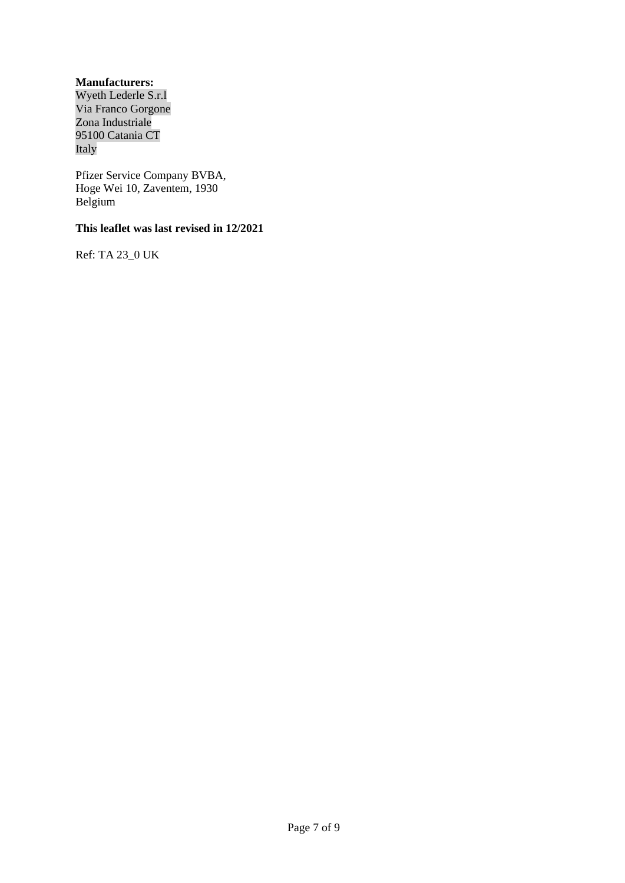# **Manufacturers:**

Wyeth Lederle S.r.l Via Franco Gorgone Zona Industriale 95100 Catania CT Italy

Pfizer Service Company BVBA, Hoge Wei 10, Zaventem, 1930 Belgium

# **This leaflet was last revised in 12/2021**

Ref: TA 23\_0 UK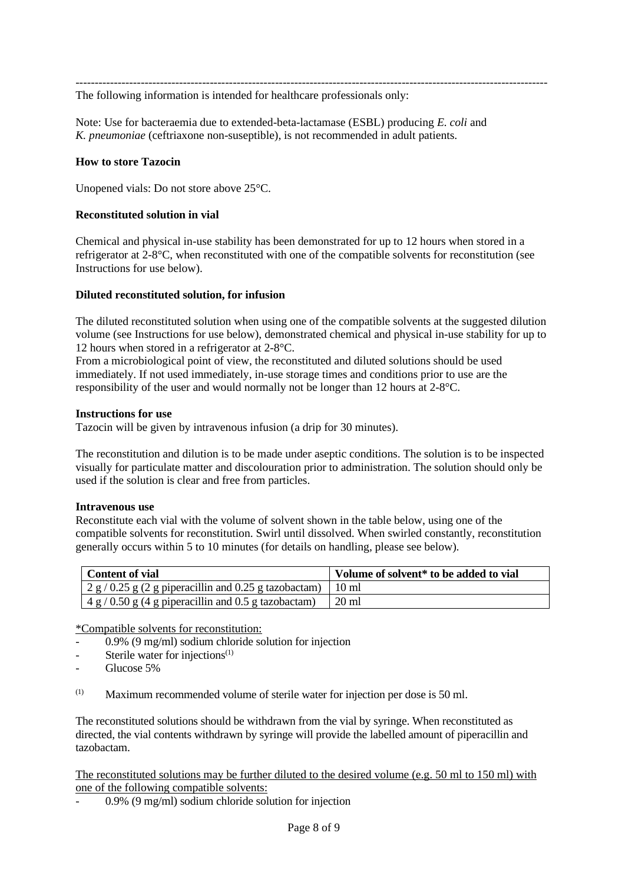---------------------------------------------------------------------------------------------------------------------------

The following information is intended for healthcare professionals only:

Note: Use for bacteraemia due to extended-beta-lactamase (ESBL) producing *E. coli* and *K. pneumoniae* (ceftriaxone non-suseptible), is not recommended in adult patients.

#### **How to store Tazocin**

Unopened vials: Do not store above 25°C.

#### **Reconstituted solution in vial**

Chemical and physical in-use stability has been demonstrated for up to 12 hours when stored in a refrigerator at 2-8°C, when reconstituted with one of the compatible solvents for reconstitution (see Instructions for use below).

#### **Diluted reconstituted solution, for infusion**

The diluted reconstituted solution when using one of the compatible solvents at the suggested dilution volume (see Instructions for use below), demonstrated chemical and physical in-use stability for up to 12 hours when stored in a refrigerator at 2-8°C.

From a microbiological point of view, the reconstituted and diluted solutions should be used immediately. If not used immediately, in-use storage times and conditions prior to use are the responsibility of the user and would normally not be longer than 12 hours at 2-8°C.

#### **Instructions for use**

Tazocin will be given by intravenous infusion (a drip for 30 minutes).

The reconstitution and dilution is to be made under aseptic conditions. The solution is to be inspected visually for particulate matter and discolouration prior to administration. The solution should only be used if the solution is clear and free from particles.

#### **Intravenous use**

Reconstitute each vial with the volume of solvent shown in the table below, using one of the compatible solvents for reconstitution. Swirl until dissolved. When swirled constantly, reconstitution generally occurs within 5 to 10 minutes (for details on handling, please see below).

| <b>Content of vial</b>                                                    | Volume of solvent* to be added to vial |
|---------------------------------------------------------------------------|----------------------------------------|
| $\frac{1}{2}$ g / 0.25 g (2 g piperacillin and 0.25 g tazobactam)   10 ml |                                        |
| $14 g / 0.50 g (4 g)$ piperacillin and 0.5 g tazobactam)                  | $\pm 20$ ml                            |

\*Compatible solvents for reconstitution:

- 0.9% (9 mg/ml) sodium chloride solution for injection
- Sterile water for injections $(1)$
- Glucose 5%
- $(1)$  Maximum recommended volume of sterile water for injection per dose is 50 ml.

The reconstituted solutions should be withdrawn from the vial by syringe. When reconstituted as directed, the vial contents withdrawn by syringe will provide the labelled amount of piperacillin and tazobactam.

The reconstituted solutions may be further diluted to the desired volume (e.g. 50 ml to 150 ml) with one of the following compatible solvents:

- 0.9% (9 mg/ml) sodium chloride solution for injection